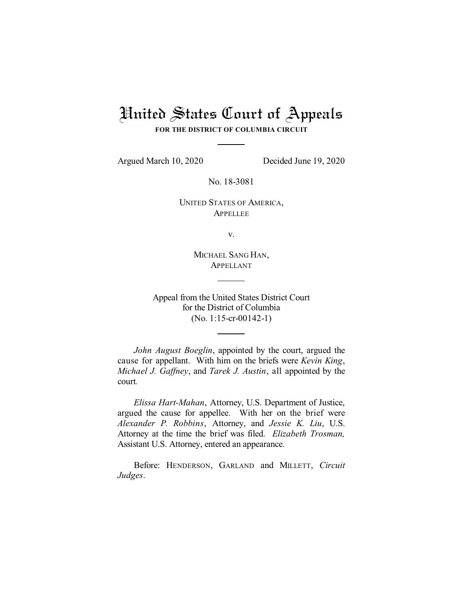# United States Court of Appeals

**FOR THE DISTRICT OF COLUMBIA CIRCUIT**

Argued March 10, 2020 Decided June 19, 2020

No. 18-3081

UNITED STATES OF AMERICA, **APPELLEE** 

v.

MICHAEL SANG HAN, APPELLANT

Appeal from the United States District Court for the District of Columbia (No. 1:15-cr-00142-1)

*John August Boeglin*, appointed by the court, argued the cause for appellant. With him on the briefs were *Kevin King*, *Michael J. Gaffney*, and *Tarek J. Austin*, all appointed by the court*.*

*Elissa Hart-Mahan*, Attorney, U.S. Department of Justice, argued the cause for appellee. With her on the brief were *Alexander P. Robbins*, Attorney, and *Jessie K. Liu*, U.S. Attorney at the time the brief was filed. *Elizabeth Trosman,* Assistant U.S. Attorney, entered an appearance.

Before: HENDERSON, GARLAND and MILLETT, *Circuit Judges*.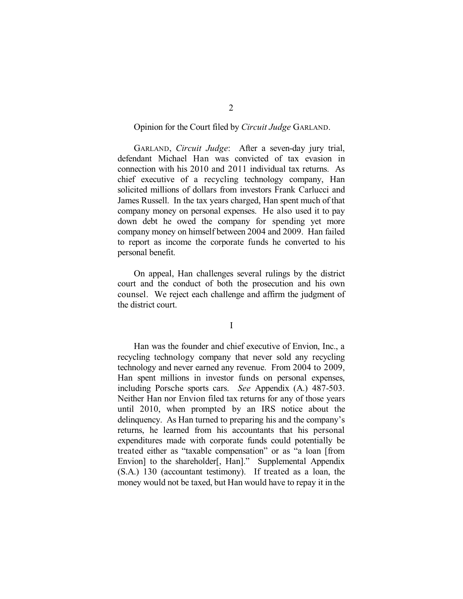### Opinion for the Court filed by *Circuit Judge* GARLAND.

GARLAND, *Circuit Judge*: After a seven-day jury trial, defendant Michael Han was convicted of tax evasion in connection with his 2010 and 2011 individual tax returns. As chief executive of a recycling technology company, Han solicited millions of dollars from investors Frank Carlucci and James Russell. In the tax years charged, Han spent much of that company money on personal expenses. He also used it to pay down debt he owed the company for spending yet more company money on himself between 2004 and 2009. Han failed to report as income the corporate funds he converted to his personal benefit.

On appeal, Han challenges several rulings by the district court and the conduct of both the prosecution and his own counsel. We reject each challenge and affirm the judgment of the district court.

I

Han was the founder and chief executive of Envion, Inc., a recycling technology company that never sold any recycling technology and never earned any revenue. From 2004 to 2009, Han spent millions in investor funds on personal expenses, including Porsche sports cars. *See* Appendix (A.) 487-503. Neither Han nor Envion filed tax returns for any of those years until 2010, when prompted by an IRS notice about the delinquency. As Han turned to preparing his and the company's returns, he learned from his accountants that his personal expenditures made with corporate funds could potentially be treated either as "taxable compensation" or as "a loan [from Envion] to the shareholder[, Han]." Supplemental Appendix (S.A.) 130 (accountant testimony). If treated as a loan, the money would not be taxed, but Han would have to repay it in the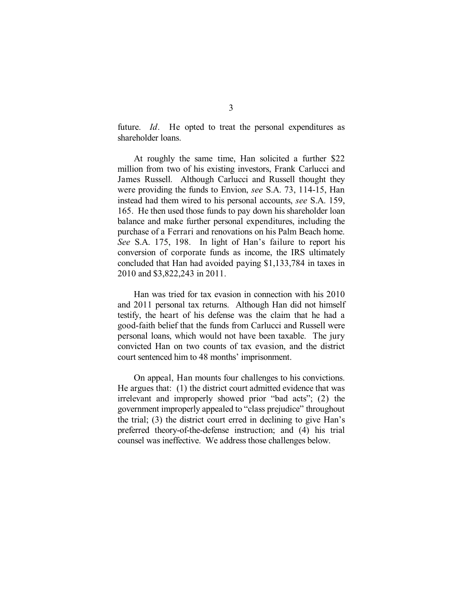future. *Id*. He opted to treat the personal expenditures as shareholder loans.

At roughly the same time, Han solicited a further \$22 million from two of his existing investors, Frank Carlucci and James Russell. Although Carlucci and Russell thought they were providing the funds to Envion, *see* S.A. 73, 114-15, Han instead had them wired to his personal accounts, *see* S.A. 159, 165. He then used those funds to pay down his shareholder loan balance and make further personal expenditures, including the purchase of a Ferrari and renovations on his Palm Beach home. *See* S.A. 175, 198. In light of Han's failure to report his conversion of corporate funds as income, the IRS ultimately concluded that Han had avoided paying \$1,133,784 in taxes in 2010 and \$3,822,243 in 2011.

Han was tried for tax evasion in connection with his 2010 and 2011 personal tax returns. Although Han did not himself testify, the heart of his defense was the claim that he had a good-faith belief that the funds from Carlucci and Russell were personal loans, which would not have been taxable. The jury convicted Han on two counts of tax evasion, and the district court sentenced him to 48 months' imprisonment.

On appeal, Han mounts four challenges to his convictions. He argues that: (1) the district court admitted evidence that was irrelevant and improperly showed prior "bad acts"; (2) the government improperly appealed to "class prejudice" throughout the trial; (3) the district court erred in declining to give Han's preferred theory-of-the-defense instruction; and (4) his trial counsel was ineffective. We address those challenges below.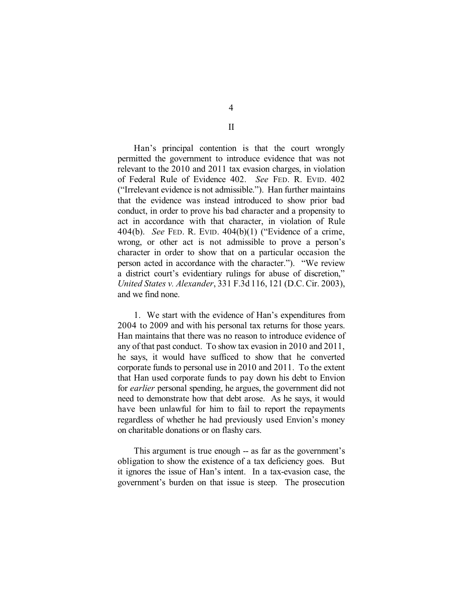Han's principal contention is that the court wrongly permitted the government to introduce evidence that was not relevant to the 2010 and 2011 tax evasion charges, in violation of Federal Rule of Evidence 402. *See* FED. R. EVID. 402 ("Irrelevant evidence is not admissible."). Han further maintains that the evidence was instead introduced to show prior bad conduct, in order to prove his bad character and a propensity to act in accordance with that character, in violation of Rule 404(b). *See* FED. R. EVID. 404(b)(1) ("Evidence of a crime, wrong, or other act is not admissible to prove a person's character in order to show that on a particular occasion the person acted in accordance with the character."). "We review a district court's evidentiary rulings for abuse of discretion," *United States v. Alexander*, 331 F.3d 116, 121 (D.C.Cir. 2003), and we find none.

1. We start with the evidence of Han's expenditures from 2004 to 2009 and with his personal tax returns for those years. Han maintains that there was no reason to introduce evidence of any of that past conduct. To show tax evasion in 2010 and 2011, he says, it would have sufficed to show that he converted corporate funds to personal use in 2010 and 2011. To the extent that Han used corporate funds to pay down his debt to Envion for *earlier* personal spending, he argues, the government did not need to demonstrate how that debt arose. As he says, it would have been unlawful for him to fail to report the repayments regardless of whether he had previously used Envion's money on charitable donations or on flashy cars.

This argument is true enough -- as far as the government's obligation to show the existence of a tax deficiency goes. But it ignores the issue of Han's intent. In a tax-evasion case, the government's burden on that issue is steep. The prosecution

4

II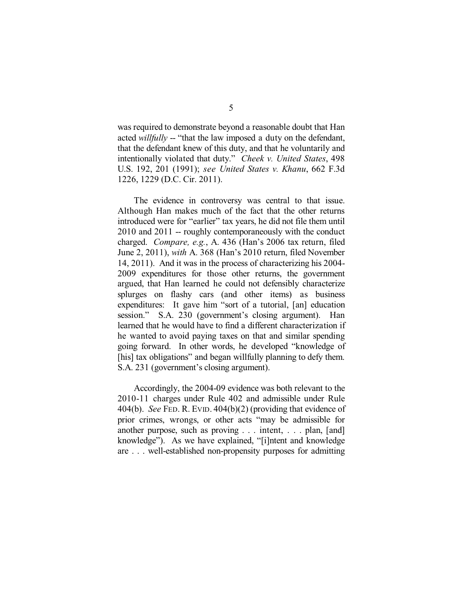was required to demonstrate beyond a reasonable doubt that Han acted *willfully* -- "that the law imposed a duty on the defendant, that the defendant knew of this duty, and that he voluntarily and intentionally violated that duty." *Cheek v. United States*, 498 U.S. 192, 201 (1991); *see United States v. Khanu*, 662 F.3d 1226, 1229 (D.C. Cir. 2011).

The evidence in controversy was central to that issue. Although Han makes much of the fact that the other returns introduced were for "earlier" tax years, he did not file them until 2010 and 2011 -- roughly contemporaneously with the conduct charged. *Compare, e.g.*, A. 436 (Han's 2006 tax return, filed June 2, 2011), *with* A. 368 (Han's 2010 return, filed November 14, 2011). And it was in the process of characterizing his 2004- 2009 expenditures for those other returns, the government argued, that Han learned he could not defensibly characterize splurges on flashy cars (and other items) as business expenditures: It gave him "sort of a tutorial, [an] education session." S.A. 230 (government's closing argument). Han learned that he would have to find a different characterization if he wanted to avoid paying taxes on that and similar spending going forward. In other words, he developed "knowledge of [his] tax obligations" and began willfully planning to defy them. S.A. 231 (government's closing argument).

Accordingly, the 2004-09 evidence was both relevant to the 2010-11 charges under Rule 402 and admissible under Rule 404(b). *See* FED. R. EVID. 404(b)(2) (providing that evidence of prior crimes, wrongs, or other acts "may be admissible for another purpose, such as proving . . . intent, . . . plan, [and] knowledge"). As we have explained, "[i]ntent and knowledge are . . . well-established non-propensity purposes for admitting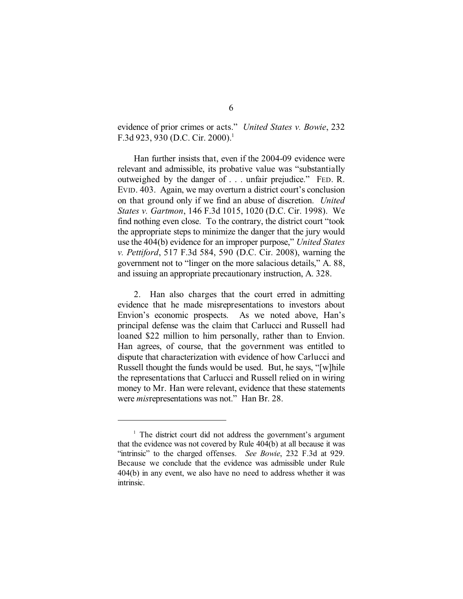evidence of prior crimes or acts." *United States v. Bowie*, 232 F.3d 923, 930 (D.C. Cir. 2000).<sup>1</sup>

Han further insists that, even if the 2004-09 evidence were relevant and admissible, its probative value was "substantially outweighed by the danger of . . . unfair prejudice." FED. R. EVID. 403. Again, we may overturn a district court's conclusion on that ground only if we find an abuse of discretion. *United States v. Gartmon*, 146 F.3d 1015, 1020 (D.C. Cir. 1998). We find nothing even close. To the contrary, the district court "took the appropriate steps to minimize the danger that the jury would use the 404(b) evidence for an improper purpose," *United States v. Pettiford*, 517 F.3d 584, 590 (D.C. Cir. 2008), warning the government not to "linger on the more salacious details," A. 88, and issuing an appropriate precautionary instruction, A. 328.

2. Han also charges that the court erred in admitting evidence that he made misrepresentations to investors about Envion's economic prospects. As we noted above, Han's principal defense was the claim that Carlucci and Russell had loaned \$22 million to him personally, rather than to Envion. Han agrees, of course, that the government was entitled to dispute that characterization with evidence of how Carlucci and Russell thought the funds would be used. But, he says, "[w]hile the representations that Carlucci and Russell relied on in wiring money to Mr. Han were relevant, evidence that these statements were *mis*representations was not." Han Br. 28.

 $\frac{1}{1}$  The district court did not address the government's argument that the evidence was not covered by Rule 404(b) at all because it was "intrinsic" to the charged offenses. *See Bowie*, 232 F.3d at 929. Because we conclude that the evidence was admissible under Rule 404(b) in any event, we also have no need to address whether it was intrinsic.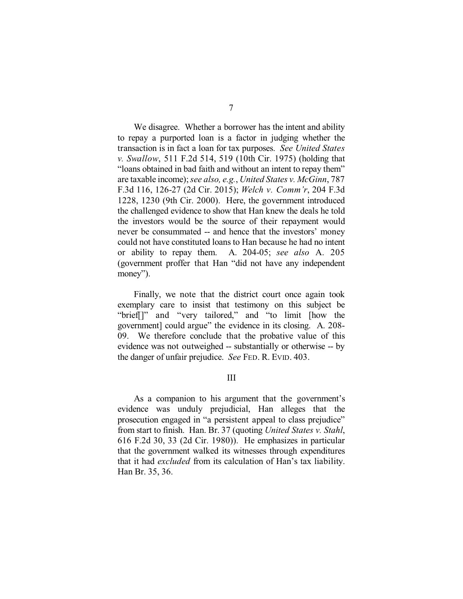We disagree. Whether a borrower has the intent and ability to repay a purported loan is a factor in judging whether the transaction is in fact a loan for tax purposes. *See United States v. Swallow*, 511 F.2d 514, 519 (10th Cir. 1975) (holding that "loans obtained in bad faith and without an intent to repay them" are taxable income);*see also, e.g.*, *United States v. McGinn*, 787 F.3d 116, 126-27 (2d Cir. 2015); *Welch v. Comm'r*, 204 F.3d 1228, 1230 (9th Cir. 2000). Here, the government introduced the challenged evidence to show that Han knew the deals he told the investors would be the source of their repayment would never be consummated -- and hence that the investors' money could not have constituted loans to Han because he had no intent or ability to repay them. A. 204-05; *see also* A. 205 (government proffer that Han "did not have any independent money").

Finally, we note that the district court once again took exemplary care to insist that testimony on this subject be "brief[]" and "very tailored," and "to limit [how the government] could argue" the evidence in its closing. A. 208- 09. We therefore conclude that the probative value of this evidence was not outweighed -- substantially or otherwise -- by the danger of unfair prejudice. *See* FED. R. EVID. 403.

#### III

As a companion to his argument that the government's evidence was unduly prejudicial, Han alleges that the prosecution engaged in "a persistent appeal to class prejudice" from start to finish. Han. Br. 37 (quoting *United States v. Stahl*, 616 F.2d 30, 33 (2d Cir. 1980)). He emphasizes in particular that the government walked its witnesses through expenditures that it had *excluded* from its calculation of Han's tax liability. Han Br. 35, 36.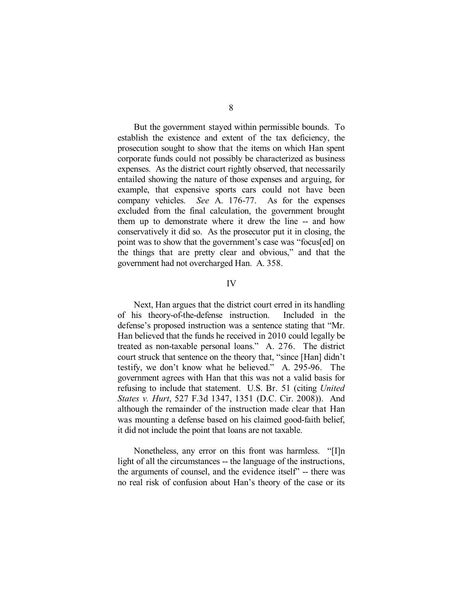But the government stayed within permissible bounds. To establish the existence and extent of the tax deficiency, the prosecution sought to show that the items on which Han spent corporate funds could not possibly be characterized as business expenses. As the district court rightly observed, that necessarily entailed showing the nature of those expenses and arguing, for example, that expensive sports cars could not have been company vehicles. *See* A. 176-77. As for the expenses excluded from the final calculation, the government brought them up to demonstrate where it drew the line -- and how conservatively it did so. As the prosecutor put it in closing, the point was to show that the government's case was "focus[ed] on the things that are pretty clear and obvious," and that the government had not overcharged Han. A. 358.

#### IV

Next, Han argues that the district court erred in its handling of his theory-of-the-defense instruction. Included in the defense's proposed instruction was a sentence stating that "Mr. Han believed that the funds he received in 2010 could legally be treated as non-taxable personal loans." A. 276. The district court struck that sentence on the theory that, "since [Han] didn't testify, we don't know what he believed." A. 295-96. The government agrees with Han that this was not a valid basis for refusing to include that statement. U.S. Br. 51 (citing *United States v. Hurt*, 527 F.3d 1347, 1351 (D.C. Cir. 2008)). And although the remainder of the instruction made clear that Han was mounting a defense based on his claimed good-faith belief, it did not include the point that loans are not taxable.

Nonetheless, any error on this front was harmless. "[I]n light of all the circumstances -- the language of the instructions, the arguments of counsel, and the evidence itself" -- there was no real risk of confusion about Han's theory of the case or its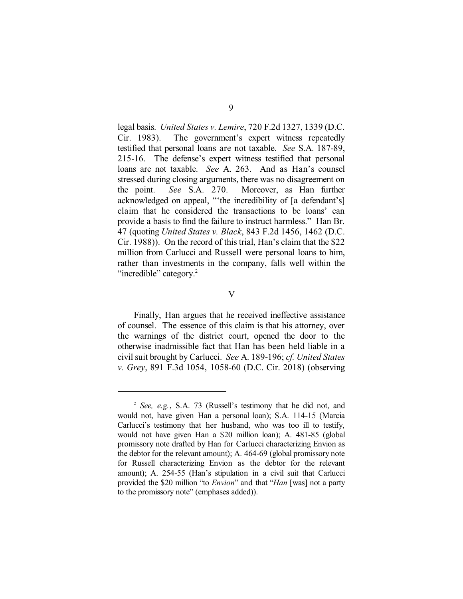legal basis. *United States v. Lemire*, 720 F.2d 1327, 1339 (D.C. Cir. 1983). The government's expert witness repeatedly testified that personal loans are not taxable. *See* S.A. 187-89, 215-16. The defense's expert witness testified that personal loans are not taxable. *See* A. 263. And as Han's counsel stressed during closing arguments, there was no disagreement on the point. *See* S.A. 270. Moreover, as Han further acknowledged on appeal, "'the incredibility of [a defendant's] claim that he considered the transactions to be loans' can provide a basis to find the failure to instruct harmless." Han Br. 47 (quoting *United States v. Black*, 843 F.2d 1456, 1462 (D.C. Cir. 1988)). On the record of this trial, Han's claim that the \$22 million from Carlucci and Russell were personal loans to him, rather than investments in the company, falls well within the "incredible" category.<sup>2</sup>

#### V

Finally, Han argues that he received ineffective assistance of counsel. The essence of this claim is that his attorney, over the warnings of the district court, opened the door to the otherwise inadmissible fact that Han has been held liable in a civilsuit brought by Carlucci. *See* A. 189-196; *cf. United States v. Grey*, 891 F.3d 1054, 1058-60 (D.C. Cir. 2018) (observing

 $\frac{1}{2}$  *See, e.g.*, S.A. 73 (Russell's testimony that he did not, and would not, have given Han a personal loan); S.A. 114-15 (Marcia Carlucci's testimony that her husband, who was too ill to testify, would not have given Han a \$20 million loan); A. 481-85 (global promissory note drafted by Han for Carlucci characterizing Envion as the debtor for the relevant amount); A. 464-69 (global promissory note for Russell characterizing Envion as the debtor for the relevant amount); A. 254-55 (Han's stipulation in a civil suit that Carlucci provided the \$20 million "to *Envion*" and that "*Han* [was] not a party to the promissory note" (emphases added)).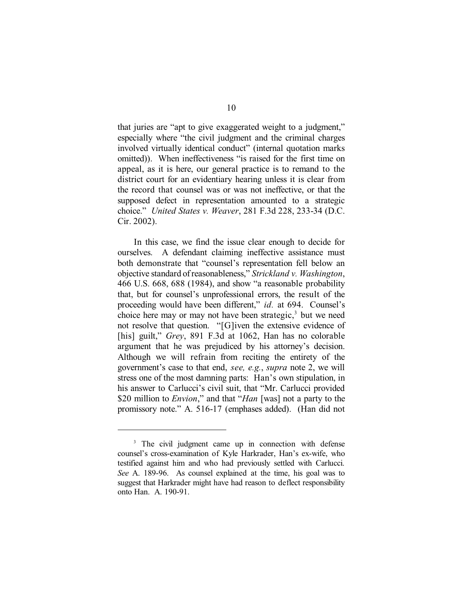that juries are "apt to give exaggerated weight to a judgment," especially where "the civil judgment and the criminal charges involved virtually identical conduct" (internal quotation marks omitted)). When ineffectiveness "is raised for the first time on appeal, as it is here, our general practice is to remand to the district court for an evidentiary hearing unless it is clear from the record that counsel was or was not ineffective, or that the supposed defect in representation amounted to a strategic choice." *United States v. Weaver*, 281 F.3d 228, 233-34 (D.C. Cir. 2002).

In this case, we find the issue clear enough to decide for ourselves. A defendant claiming ineffective assistance must both demonstrate that "counsel's representation fell below an objective standard ofreasonableness," *Strickland v. Washington*, 466 U.S. 668, 688 (1984), and show "a reasonable probability that, but for counsel's unprofessional errors, the result of the proceeding would have been different," *id.* at 694. Counsel's choice here may or may not have been strategic,<sup>3</sup> but we need not resolve that question. "[G]iven the extensive evidence of [his] guilt," *Grey*, 891 F.3d at 1062, Han has no colorable argument that he was prejudiced by his attorney's decision. Although we will refrain from reciting the entirety of the government's case to that end, *see, e.g.*, *supra* note 2, we will stress one of the most damning parts: Han's own stipulation, in his answer to Carlucci's civil suit, that "Mr. Carlucci provided \$20 million to *Envion*," and that "*Han* [was] not a party to the promissory note." A. 516-17 (emphases added). (Han did not

<sup>&</sup>lt;sup>3</sup> The civil judgment came up in connection with defense counsel's cross-examination of Kyle Harkrader, Han's ex-wife, who testified against him and who had previously settled with Carlucci. *See* A. 189-96. As counsel explained at the time, his goal was to suggest that Harkrader might have had reason to deflect responsibility onto Han. A. 190-91.